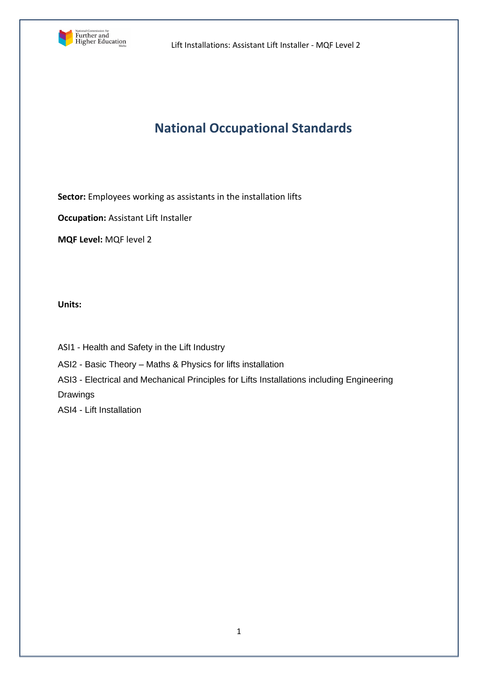

# **National Occupational Standards**

**Sector:** Employees working as assistants in the installation lifts

**Occupation:** Assistant Lift Installer

**MQF Level:** MQF level 2

**Units:** 

ASI1 - Health and Safety in the Lift Industry

ASI2 - Basic Theory – Maths & Physics for lifts installation

ASI3 - Electrical and Mechanical Principles for Lifts Installations including Engineering

Drawings

ASI4 - Lift Installation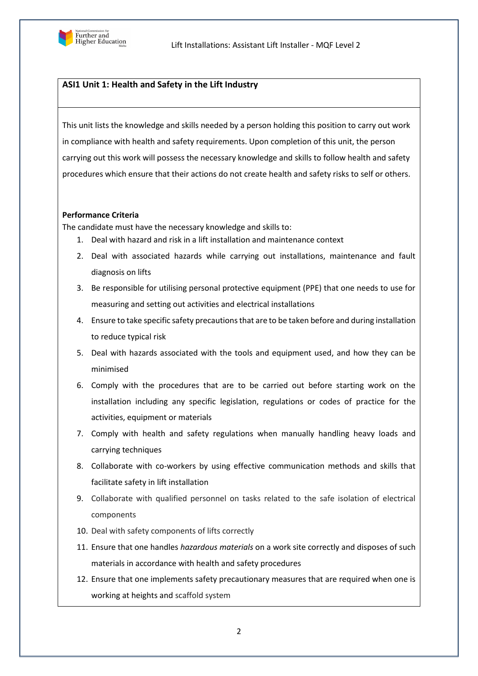

# **ASI1 Unit 1: Health and Safety in the Lift Industry**

This unit lists the knowledge and skills needed by a person holding this position to carry out work in compliance with health and safety requirements. Upon completion of this unit, the person carrying out this work will possess the necessary knowledge and skills to follow health and safety procedures which ensure that their actions do not create health and safety risks to self or others.

### **Performance Criteria**

The candidate must have the necessary knowledge and skills to:

- 1. Deal with hazard and risk in a lift installation and maintenance context
- 2. Deal with associated hazards while carrying out installations, maintenance and fault diagnosis on lifts
- 3. Be responsible for utilising personal protective equipment (PPE) that one needs to use for measuring and setting out activities and electrical installations
- 4. Ensure to take specific safety precautions that are to be taken before and during installation to reduce typical risk
- 5. Deal with hazards associated with the tools and equipment used, and how they can be minimised
- 6. Comply with the procedures that are to be carried out before starting work on the installation including any specific legislation, regulations or codes of practice for the activities, equipment or materials
- 7. Comply with health and safety regulations when manually handling heavy loads and carrying techniques
- 8. Collaborate with co-workers by using effective communication methods and skills that facilitate safety in lift installation
- 9. Collaborate with qualified personnel on tasks related to the safe isolation of electrical components
- 10. Deal with safety components of lifts correctly
- 11. Ensure that one handles *hazardous materials* on a work site correctly and disposes of such materials in accordance with health and safety procedures
- 12. Ensure that one implements safety precautionary measures that are required when one is working at heights and scaffold system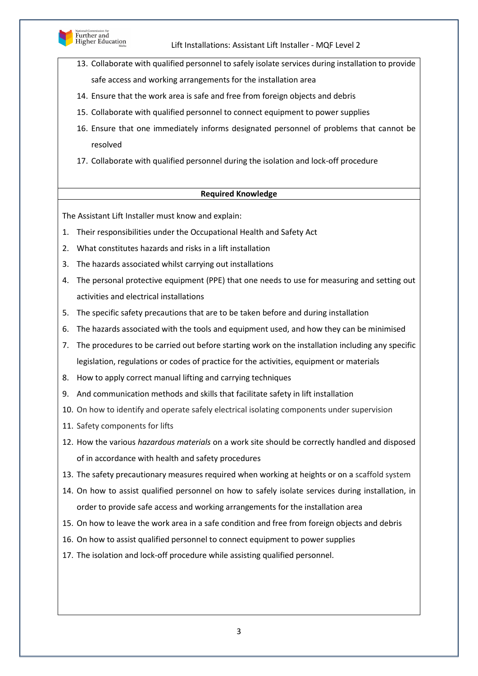

- 13. Collaborate with qualified personnel to safely isolate services during installation to provide safe access and working arrangements for the installation area
- 14. Ensure that the work area is safe and free from foreign objects and debris
- 15. Collaborate with qualified personnel to connect equipment to power supplies
- 16. Ensure that one immediately informs designated personnel of problems that cannot be resolved
- 17. Collaborate with qualified personnel during the isolation and lock-off procedure

# **Required Knowledge**

The Assistant Lift Installer must know and explain:

- 1. Their responsibilities under the Occupational Health and Safety Act
- 2. What constitutes hazards and risks in a lift installation
- 3. The hazards associated whilst carrying out installations
- 4. The personal protective equipment (PPE) that one needs to use for measuring and setting out activities and electrical installations
- 5. The specific safety precautions that are to be taken before and during installation
- 6. The hazards associated with the tools and equipment used, and how they can be minimised
- 7. The procedures to be carried out before starting work on the installation including any specific legislation, regulations or codes of practice for the activities, equipment or materials
- 8. How to apply correct manual lifting and carrying techniques
- 9. And communication methods and skills that facilitate safety in lift installation
- 10. On how to identify and operate safely electrical isolating components under supervision
- 11. Safety components for lifts
- 12. How the various *hazardous materials* on a work site should be correctly handled and disposed of in accordance with health and safety procedures
- 13. The safety precautionary measures required when working at heights or on a scaffold system
- 14. On how to assist qualified personnel on how to safely isolate services during installation, in order to provide safe access and working arrangements for the installation area
- 15. On how to leave the work area in a safe condition and free from foreign objects and debris
- 16. On how to assist qualified personnel to connect equipment to power supplies
- 17. The isolation and lock-off procedure while assisting qualified personnel.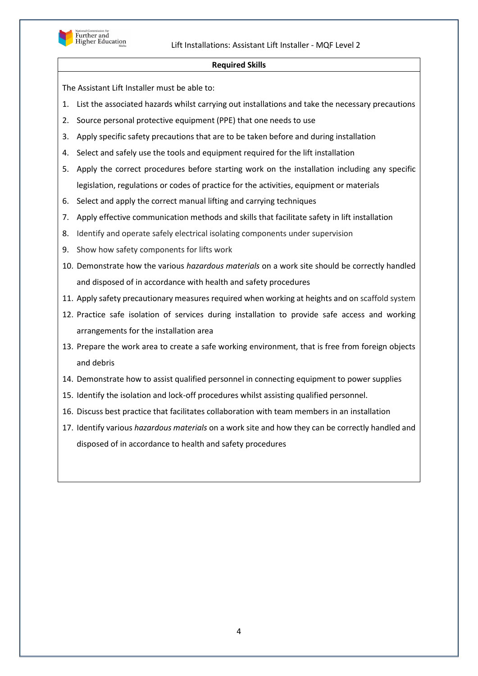

### **Required Skills**

The Assistant Lift Installer must be able to:

- 1. List the associated hazards whilst carrying out installations and take the necessary precautions
- 2. Source personal protective equipment (PPE) that one needs to use
- 3. Apply specific safety precautions that are to be taken before and during installation
- 4. Select and safely use the tools and equipment required for the lift installation
- 5. Apply the correct procedures before starting work on the installation including any specific legislation, regulations or codes of practice for the activities, equipment or materials
- 6. Select and apply the correct manual lifting and carrying techniques
- 7. Apply effective communication methods and skills that facilitate safety in lift installation
- 8. Identify and operate safely electrical isolating components under supervision
- 9. Show how safety components for lifts work
- 10. Demonstrate how the various *hazardous materials* on a work site should be correctly handled and disposed of in accordance with health and safety procedures
- 11. Apply safety precautionary measures required when working at heights and on scaffold system
- 12. Practice safe isolation of services during installation to provide safe access and working arrangements for the installation area
- 13. Prepare the work area to create a safe working environment, that is free from foreign objects and debris
- 14. Demonstrate how to assist qualified personnel in connecting equipment to power supplies
- 15. Identify the isolation and lock-off procedures whilst assisting qualified personnel.
- 16. Discuss best practice that facilitates collaboration with team members in an installation
- 17. Identify various *hazardous materials* on a work site and how they can be correctly handled and disposed of in accordance to health and safety procedures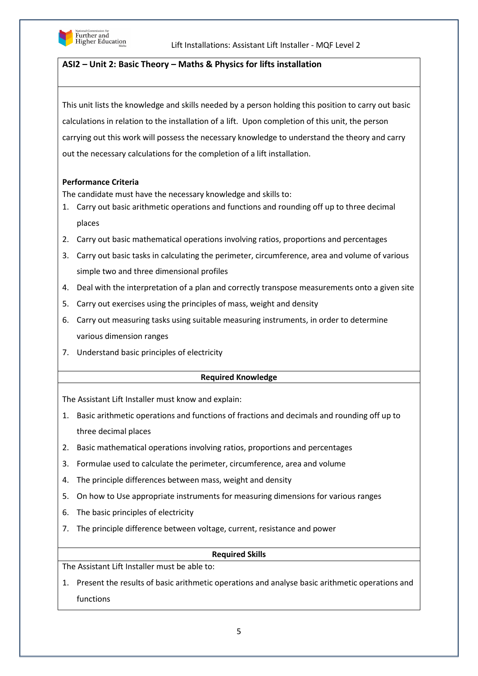

# **ASI2 – Unit 2: Basic Theory – Maths & Physics for lifts installation**

This unit lists the knowledge and skills needed by a person holding this position to carry out basic calculations in relation to the installation of a lift. Upon completion of this unit, the person carrying out this work will possess the necessary knowledge to understand the theory and carry out the necessary calculations for the completion of a lift installation.

### **Performance Criteria**

The candidate must have the necessary knowledge and skills to:

- 1. Carry out basic arithmetic operations and functions and rounding off up to three decimal places
- 2. Carry out basic mathematical operations involving ratios, proportions and percentages
- 3. Carry out basic tasks in calculating the perimeter, circumference, area and volume of various simple two and three dimensional profiles
- 4. Deal with the interpretation of a plan and correctly transpose measurements onto a given site
- 5. Carry out exercises using the principles of mass, weight and density
- 6. Carry out measuring tasks using suitable measuring instruments, in order to determine various dimension ranges
- 7. Understand basic principles of electricity

### **Required Knowledge**

The Assistant Lift Installer must know and explain:

- 1. Basic arithmetic operations and functions of fractions and decimals and rounding off up to three decimal places
- 2. Basic mathematical operations involving ratios, proportions and percentages
- 3. Formulae used to calculate the perimeter, circumference, area and volume
- 4. The principle differences between mass, weight and density
- 5. On how to Use appropriate instruments for measuring dimensions for various ranges
- 6. The basic principles of electricity
- 7. The principle difference between voltage, current, resistance and power

### **Required Skills**

The Assistant Lift Installer must be able to:

1. Present the results of basic arithmetic operations and analyse basic arithmetic operations and functions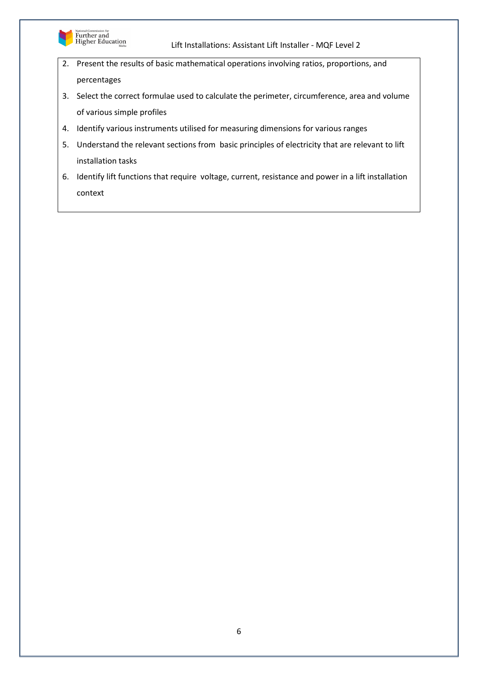

- 2. Present the results of basic mathematical operations involving ratios, proportions, and percentages
- 3. Select the correct formulae used to calculate the perimeter, circumference, area and volume of various simple profiles
- 4. Identify various instruments utilised for measuring dimensions for various ranges
- 5. Understand the relevant sections from basic principles of electricity that are relevant to lift installation tasks
- 6. Identify lift functions that require voltage, current, resistance and power in a lift installation context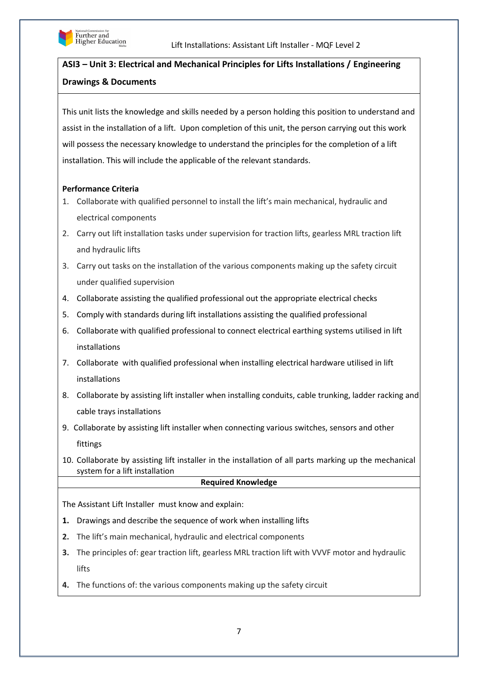

# **ASI3 – Unit 3: Electrical and Mechanical Principles for Lifts Installations / Engineering Drawings & Documents**

This unit lists the knowledge and skills needed by a person holding this position to understand and assist in the installation of a lift. Upon completion of this unit, the person carrying out this work will possess the necessary knowledge to understand the principles for the completion of a lift installation. This will include the applicable of the relevant standards.

### **Performance Criteria**

- 1. Collaborate with qualified personnel to install the lift's main mechanical, hydraulic and electrical components
- 2. Carry out lift installation tasks under supervision for traction lifts, gearless MRL traction lift and hydraulic lifts
- 3. Carry out tasks on the installation of the various components making up the safety circuit under qualified supervision
- 4. Collaborate assisting the qualified professional out the appropriate electrical checks
- 5. Comply with standards during lift installations assisting the qualified professional
- 6. Collaborate with qualified professional to connect electrical earthing systems utilised in lift installations
- 7. Collaborate with qualified professional when installing electrical hardware utilised in lift installations
- 8. Collaborate by assisting lift installer when installing conduits, cable trunking, ladder racking and cable trays installations
- 9. Collaborate by assisting lift installer when connecting various switches, sensors and other fittings
- 10. Collaborate by assisting lift installer in the installation of all parts marking up the mechanical system for a lift installation

### **Required Knowledge**

The Assistant Lift Installer must know and explain:

- **1.** Drawings and describe the sequence of work when installing lifts
- **2.** The lift's main mechanical, hydraulic and electrical components
- **3.** The principles of: gear traction lift, gearless MRL traction lift with VVVF motor and hydraulic lifts
- **4.** The functions of: the various components making up the safety circuit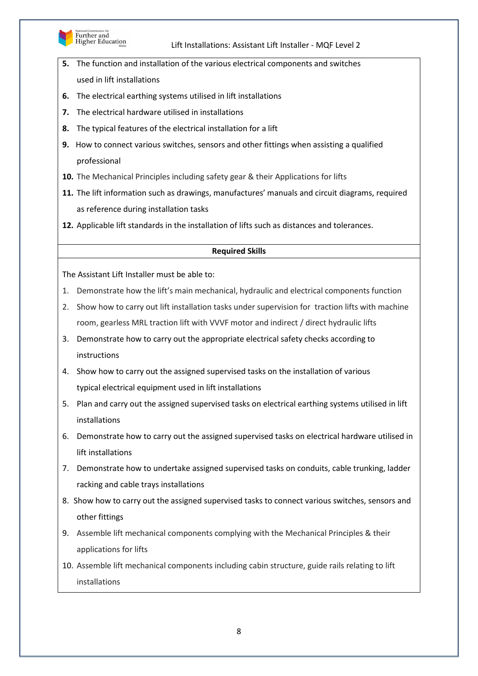

Further and<br>Higher Education

### Lift Installations: Assistant Lift Installer - MQF Level 2

- **5.** The function and installation of the various electrical components and switches used in lift installations
- **6.** The electrical earthing systems utilised in lift installations
- **7.** The electrical hardware utilised in installations
- **8.** The typical features of the electrical installation for a lift
- **9.** How to connect various switches, sensors and other fittings when assisting a qualified professional
- **10.** The Mechanical Principles including safety gear & their Applications for lifts
- **11.** The lift information such as drawings, manufactures' manuals and circuit diagrams, required as reference during installation tasks

**12.** Applicable lift standards in the installation of lifts such as distances and tolerances.

### **Required Skills**

The Assistant Lift Installer must be able to:

- 1. Demonstrate how the lift's main mechanical, hydraulic and electrical components function
- 2. Show how to carry out lift installation tasks under supervision for traction lifts with machine room, gearless MRL traction lift with VVVF motor and indirect / direct hydraulic lifts
- 3. Demonstrate how to carry out the appropriate electrical safety checks according to instructions
- 4. Show how to carry out the assigned supervised tasks on the installation of various typical electrical equipment used in lift installations
- 5. Plan and carry out the assigned supervised tasks on electrical earthing systems utilised in lift installations
- 6. Demonstrate how to carry out the assigned supervised tasks on electrical hardware utilised in lift installations
- 7. Demonstrate how to undertake assigned supervised tasks on conduits, cable trunking, ladder racking and cable trays installations
- 8. Show how to carry out the assigned supervised tasks to connect various switches, sensors and other fittings
- 9. Assemble lift mechanical components complying with the Mechanical Principles & their applications for lifts
- 10. Assemble lift mechanical components including cabin structure, guide rails relating to lift installations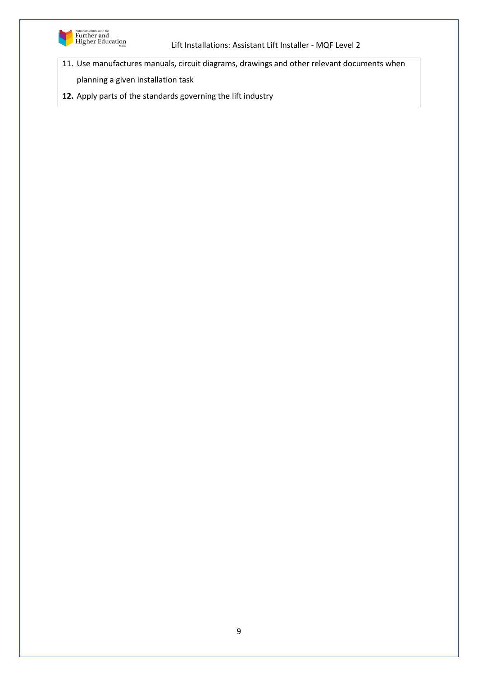

- 11. Use manufactures manuals, circuit diagrams, drawings and other relevant documents when
	- planning a given installation task
- **12.** Apply parts of the standards governing the lift industry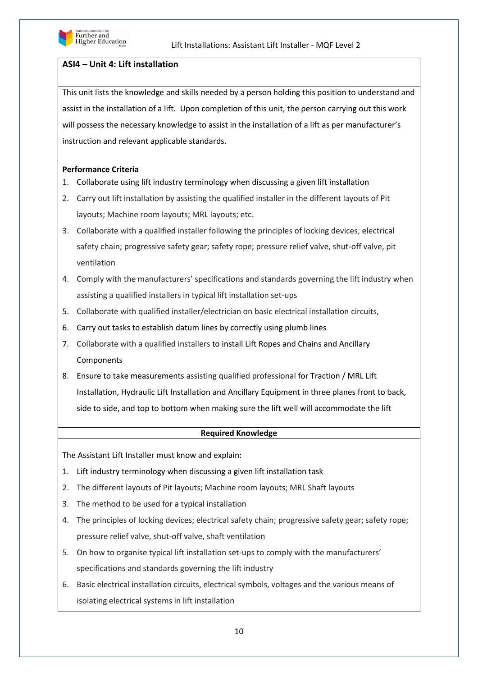

# **ASI4 – Unit 4: Lift installation**

This unit lists the knowledge and skills needed by a person holding this position to understand and assist in the installation of a lift. Upon completion of this unit, the person carrying out this work will possess the necessary knowledge to assist in the installation of a lift as per manufacturer's instruction and relevant applicable standards.

### **Performance Criteria**

- 1. Collaborate using lift industry terminology when discussing a given lift installation
- 2. Carry out lift installation by assisting the qualified installer in the different layouts of Pit layouts; Machine room layouts; MRL layouts; etc.
- 3. Collaborate with a qualified installer following the principles of locking devices; electrical safety chain; progressive safety gear; safety rope; pressure relief valve, shut-off valve, pit ventilation
- 4. Comply with the manufacturers' specifications and standards governing the lift industry when assisting a qualified installers in typical lift installation set-ups
- 5. Collaborate with qualified installer/electrician on basic electrical installation circuits,
- 6. Carry out tasks to establish datum lines by correctly using plumb lines
- 7. Collaborate with a qualified installers to install Lift Ropes and Chains and Ancillary Components
- 8. Ensure to take measurements assisting qualified professional for Traction / MRL Lift Installation, Hydraulic Lift Installation and Ancillary Equipment in three planes front to back, side to side, and top to bottom when making sure the lift well will accommodate the lift

### **Required Knowledge**

The Assistant Lift Installer must know and explain:

- 1. Lift industry terminology when discussing a given lift installation task
- 2. The different layouts of Pit layouts; Machine room layouts; MRL Shaft layouts
- 3. The method to be used for a typical installation
- 4. The principles of locking devices; electrical safety chain; progressive safety gear; safety rope; pressure relief valve, shut-off valve, shaft ventilation
- 5. On how to organise typical lift installation set-ups to comply with the manufacturers' specifications and standards governing the lift industry
- 6. Basic electrical installation circuits, electrical symbols, voltages and the various means of isolating electrical systems in lift installation